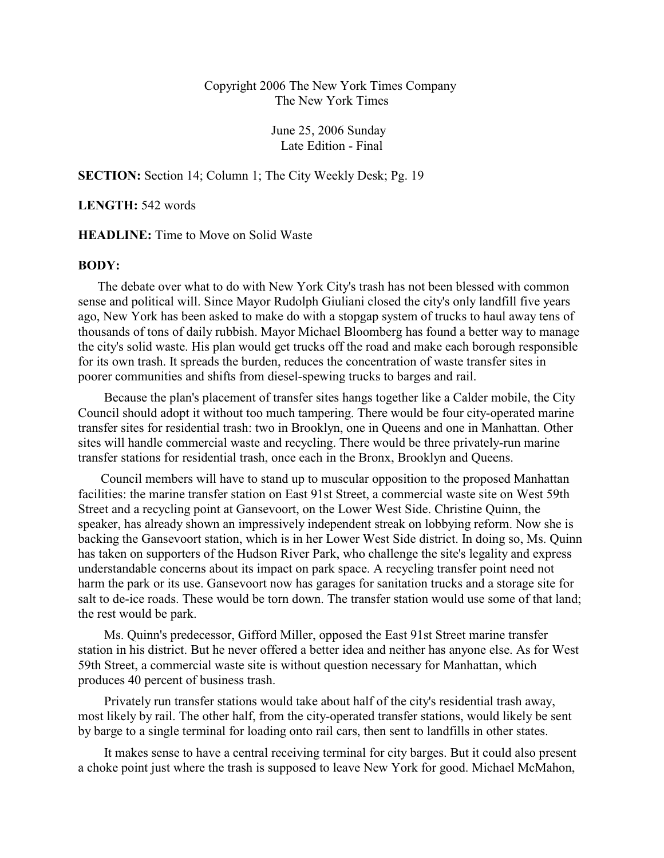## Copyright 2006 The New York Times Company The New York Times

June 25, 2006 Sunday Late Edition - Final

**SECTION:** Section 14; Column 1; The City Weekly Desk; Pg. 19

**LENGTH:** 542 words

## **HEADLINE:** Time to Move on Solid Waste

## **BODY:**

The debate over what to do with New York City's trash has not been blessed with common sense and political will. Since Mayor Rudolph Giuliani closed the city's only landfill five years ago, New York has been asked to make do with a stopgap system of trucks to haul away tens of thousands of tons of daily rubbish. Mayor Michael Bloomberg has found a better way to manage the city's solid waste. His plan would get trucks off the road and make each borough responsible for its own trash. It spreads the burden, reduces the concentration of waste transfer sites in poorer communities and shifts from diesel-spewing trucks to barges and rail.

 Because the plan's placement of transfer sites hangs together like a Calder mobile, the City Council should adopt it without too much tampering. There would be four city-operated marine transfer sites for residential trash: two in Brooklyn, one in Queens and one in Manhattan. Other sites will handle commercial waste and recycling. There would be three privately-run marine transfer stations for residential trash, once each in the Bronx, Brooklyn and Queens.

 Council members will have to stand up to muscular opposition to the proposed Manhattan facilities: the marine transfer station on East 91st Street, a commercial waste site on West 59th Street and a recycling point at Gansevoort, on the Lower West Side. Christine Quinn, the speaker, has already shown an impressively independent streak on lobbying reform. Now she is backing the Gansevoort station, which is in her Lower West Side district. In doing so, Ms. Quinn has taken on supporters of the Hudson River Park, who challenge the site's legality and express understandable concerns about its impact on park space. A recycling transfer point need not harm the park or its use. Gansevoort now has garages for sanitation trucks and a storage site for salt to de-ice roads. These would be torn down. The transfer station would use some of that land; the rest would be park.

 Ms. Quinn's predecessor, Gifford Miller, opposed the East 91st Street marine transfer station in his district. But he never offered a better idea and neither has anyone else. As for West 59th Street, a commercial waste site is without question necessary for Manhattan, which produces 40 percent of business trash.

 Privately run transfer stations would take about half of the city's residential trash away, most likely by rail. The other half, from the city-operated transfer stations, would likely be sent by barge to a single terminal for loading onto rail cars, then sent to landfills in other states.

 It makes sense to have a central receiving terminal for city barges. But it could also present a choke point just where the trash is supposed to leave New York for good. Michael McMahon,